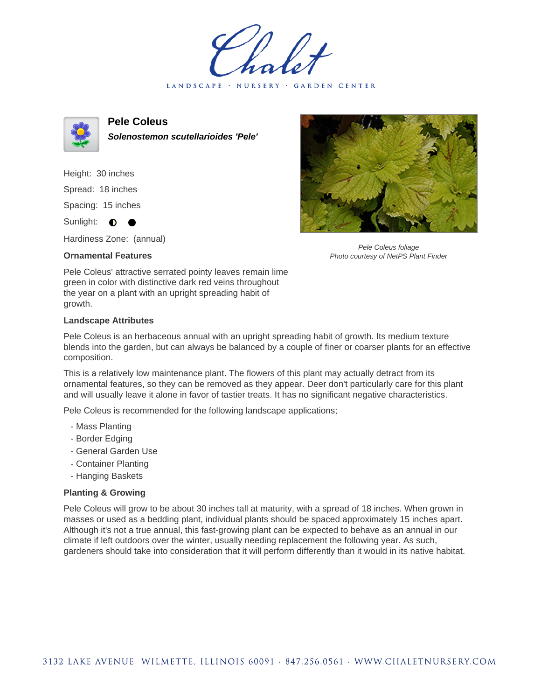LANDSCAPE · NURSERY · GARDEN CENTER



**Pele Coleus Solenostemon scutellarioides 'Pele'**

Height: 30 inches Spread: 18 inches Spacing: 15 inches Sunlight:  $\bullet$ 

Hardiness Zone: (annual)

## **Ornamental Features**



Pele Coleus foliage Photo courtesy of NetPS Plant Finder

Pele Coleus' attractive serrated pointy leaves remain lime green in color with distinctive dark red veins throughout the year on a plant with an upright spreading habit of growth.

## **Landscape Attributes**

Pele Coleus is an herbaceous annual with an upright spreading habit of growth. Its medium texture blends into the garden, but can always be balanced by a couple of finer or coarser plants for an effective composition.

This is a relatively low maintenance plant. The flowers of this plant may actually detract from its ornamental features, so they can be removed as they appear. Deer don't particularly care for this plant and will usually leave it alone in favor of tastier treats. It has no significant negative characteristics.

Pele Coleus is recommended for the following landscape applications;

- Mass Planting
- Border Edging
- General Garden Use
- Container Planting
- Hanging Baskets

## **Planting & Growing**

Pele Coleus will grow to be about 30 inches tall at maturity, with a spread of 18 inches. When grown in masses or used as a bedding plant, individual plants should be spaced approximately 15 inches apart. Although it's not a true annual, this fast-growing plant can be expected to behave as an annual in our climate if left outdoors over the winter, usually needing replacement the following year. As such, gardeners should take into consideration that it will perform differently than it would in its native habitat.